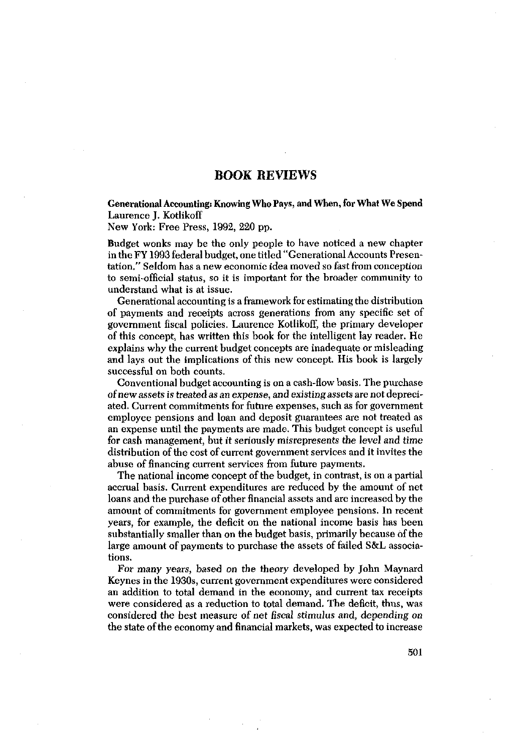## **BOOK REVIEWS**

Generational Accounting: Knowing Who Pays, and When, for What We Spend Laurence J. Kotlikoff

New York: Free Press, 1992, 220 pp.

Budget wonks may be the only people to have noticed a new chapter in the FY1993 federal budget, one titled "Generational Accounts Presentation." Seldom has a new economic idea moved so fastfrom conception to semi-official status, so it is important for the broader community to understand what is at issue.

Generational accounting is a framework for estimating the distribution of payments and receipts across generations from any specific set of government fiscal policies. Laurence Kotlikoff, the primary developer of this concept, has written this book for the intelligent lay reader. He explains why the current budget concepts are inadequate or misleading and lays out the implications of this new concept. His book is largely successful on both counts.

Conventional budget accounting is on a cash-flow basis. The purchase of newassets is treated as an expense, and existingassets are notdepreci- ated. Current commitments for future expenses, such as for government employee pensions and loan and deposit guarantees are not treated as an expense until the payments are made. This budget concept is useful for cash management, but it seriously misrepresents the level and time distribution of the cost of current government services and it invites the abuse of financing current services from future payments.

The national income concept of the budget, in contrast, is on a partial accrual basis. Current expenditures are reduced by the amount of net loans and the purchase of other financial assets and are increased by the amount of commitments for government employee pensions. In recent years, for example, the deficit on the national income basis has been substantially smaller than on the budget basis, primarily because of the large amount of payments to purchase the assets of failed S&L associations.

For *many* years, based on the theory developed by John Maynard Keynes inthe 1930s, current government expenditures were considered an addition to total demand in the economy, and current tax receipts were considered as a reduction to total demand. The deficit, thus, was considered the best measure of net fiscal stimulus and, depending on the state of the economyand financial markets, was expected to increase

501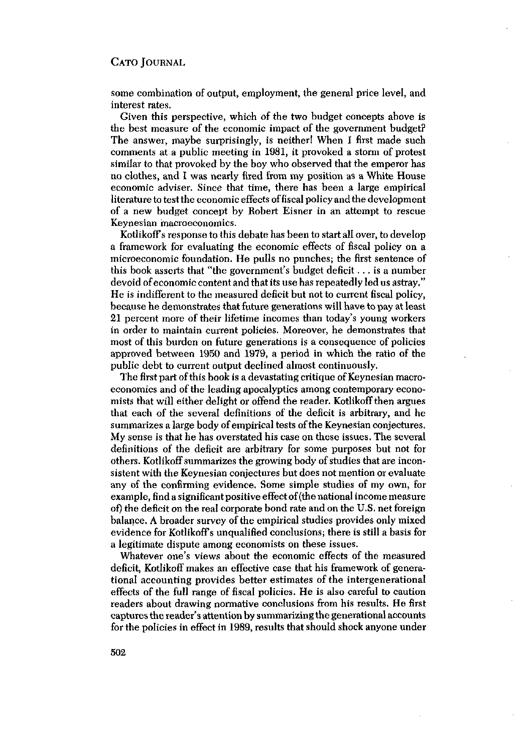## CATO JOURNAL

some combination of output, employment, the general price level, and interest rates.

Given this perspective, which of the two budget concepts above is the best measure of the economic impact of the government budget? The answer, maybe surprisingly, is neither! When I first made such comments at a public meeting in 1981, it provoked a storm of protest similar to that provoked by the boy who observed that the emperor has no clothes, and I was nearly fired from my position as a White House economic adviser. Since that time, there has been a large empirical literature to test the economic effects of fiscal policy and the development of a new budget concept by Robert Eisner in an attempt to rescue Keynesian macroeconomics.

Kotlikoffs response to this debate has been to start all over, to develop a framework for evaluating the economic effects of fiscal policy on a microeconomic foundation. He pulls no punches; the first sentence of this book asserts that "the government's budget deficit . . . is a number devoid of economic content and that its use has repeatedly led us astray," He is indifferent to the measured deficit but not to current fiscal policy, because he demonstrates that future generations will have to payat least 21 percent more of their lifetime incomes than today's young workers in order to maintain current policies. Moreover, he demonstrates that most of this burden on future generations is a consequence of policies approved between 1950 and 1979, a period in which the ratio of the public debt to current output declined almost continuously.

The first part of this book is a devastating critique of Keynesian macroeconomics and of the leading apocalyptics among contemporary economists that will either delight or offend the reader. Kotlikoff then argues that each of the several definitions of the deficit is arbitrary, and he summarizes a large body of empirical tests of the Keynesian conjectures. My sense is that he has overstated his case on these issues. The several definitions of the deficit are arbitrary for some purposes but not for others. Kotlikoff summarizes the growing body of studies that are inconsistent with the Keynesian conjectures but does not mention or evaluate any of the confirming evidence, Some simple studies of my own, for example, find a significant positive effect of (the national income measure of) the deficit on the real corporate bond rate and on the U.S. net foreign balance. A broader survey of the empirical studies provides only mixed evidence for Kotlikoffs unqualified conclusions; there is still a basis for a legitimate dispute among economists on these issues.

Whatever one's views about the economic effects of the measured deficit, Kotlikoff makes an effective case that his framework of generational accounting provides better estimates of the intergenerational effects of the full range of fiscal policies. He is also careful to caution readers about drawing normative conclusions from his results, He first captures the reader's attention by summarizing the generational accounts for the policies in effect in 1989, results that should shock anyone under